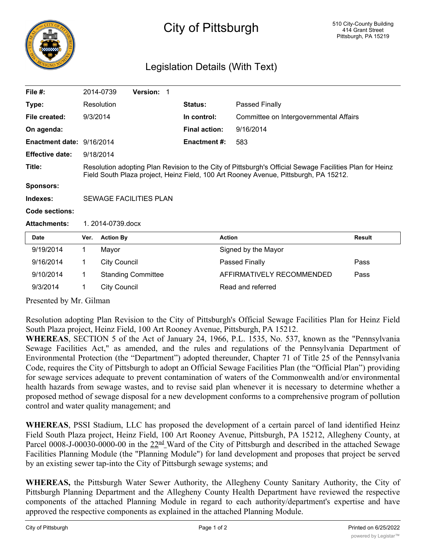

## City of Pittsburgh

## Legislation Details (With Text)

| File $#$ :                |                                                                                                                                                                                                 | 2014-0739<br>Version: 1   |                      |                                        |               |
|---------------------------|-------------------------------------------------------------------------------------------------------------------------------------------------------------------------------------------------|---------------------------|----------------------|----------------------------------------|---------------|
| Type:                     |                                                                                                                                                                                                 | Resolution                | <b>Status:</b>       | Passed Finally                         |               |
| File created:             | 9/3/2014                                                                                                                                                                                        |                           | In control:          | Committee on Intergovernmental Affairs |               |
| On agenda:                |                                                                                                                                                                                                 |                           | <b>Final action:</b> | 9/16/2014                              |               |
| Enactment date: 9/16/2014 |                                                                                                                                                                                                 |                           | Enactment #:         | 583                                    |               |
| <b>Effective date:</b>    | 9/18/2014                                                                                                                                                                                       |                           |                      |                                        |               |
| Title:                    | Resolution adopting Plan Revision to the City of Pittsburgh's Official Sewage Facilities Plan for Heinz<br>Field South Plaza project, Heinz Field, 100 Art Rooney Avenue, Pittsburgh, PA 15212. |                           |                      |                                        |               |
| <b>Sponsors:</b>          |                                                                                                                                                                                                 |                           |                      |                                        |               |
| Indexes:                  | SEWAGE FACILITIES PLAN                                                                                                                                                                          |                           |                      |                                        |               |
| Code sections:            |                                                                                                                                                                                                 |                           |                      |                                        |               |
| <b>Attachments:</b>       | $1.2014 - 0739$ docx                                                                                                                                                                            |                           |                      |                                        |               |
| Date                      | Ver.                                                                                                                                                                                            | <b>Action By</b>          | <b>Action</b>        |                                        | <b>Result</b> |
| 9/19/2014                 | 1                                                                                                                                                                                               | Mayor                     |                      | Signed by the Mayor                    |               |
| 9/16/2014                 | 1                                                                                                                                                                                               | <b>City Council</b>       |                      | Passed Finally                         | Pass          |
| 9/10/2014                 | 1                                                                                                                                                                                               | <b>Standing Committee</b> |                      | AFFIRMATIVELY RECOMMENDED              | Pass          |
| 9/3/2014                  | 1                                                                                                                                                                                               | <b>City Council</b>       |                      | Read and referred                      |               |

Presented by Mr. Gilman

Resolution adopting Plan Revision to the City of Pittsburgh's Official Sewage Facilities Plan for Heinz Field South Plaza project, Heinz Field, 100 Art Rooney Avenue, Pittsburgh, PA 15212.

**WHEREAS**, SECTION 5 of the Act of January 24, 1966, P.L. 1535, No. 537, known as the "Pennsylvania Sewage Facilities Act," as amended, and the rules and regulations of the Pennsylvania Department of Environmental Protection (the "Department") adopted thereunder, Chapter 71 of Title 25 of the Pennsylvania Code, requires the City of Pittsburgh to adopt an Official Sewage Facilities Plan (the "Official Plan") providing for sewage services adequate to prevent contamination of waters of the Commonwealth and/or environmental health hazards from sewage wastes, and to revise said plan whenever it is necessary to determine whether a proposed method of sewage disposal for a new development conforms to a comprehensive program of pollution control and water quality management; and

**WHEREAS**, PSSI Stadium, LLC has proposed the development of a certain parcel of land identified Heinz Field South Plaza project, Heinz Field, 100 Art Rooney Avenue, Pittsburgh, PA 15212, Allegheny County, at Parcel 0008-J-00030-0000-00 in the  $22<sup>nd</sup>$  Ward of the City of Pittsburgh and described in the attached Sewage Facilities Planning Module (the "Planning Module") for land development and proposes that project be served by an existing sewer tap-into the City of Pittsburgh sewage systems; and

**WHEREAS,** the Pittsburgh Water Sewer Authority, the Allegheny County Sanitary Authority, the City of Pittsburgh Planning Department and the Allegheny County Health Department have reviewed the respective components of the attached Planning Module in regard to each authority/department's expertise and have approved the respective components as explained in the attached Planning Module.